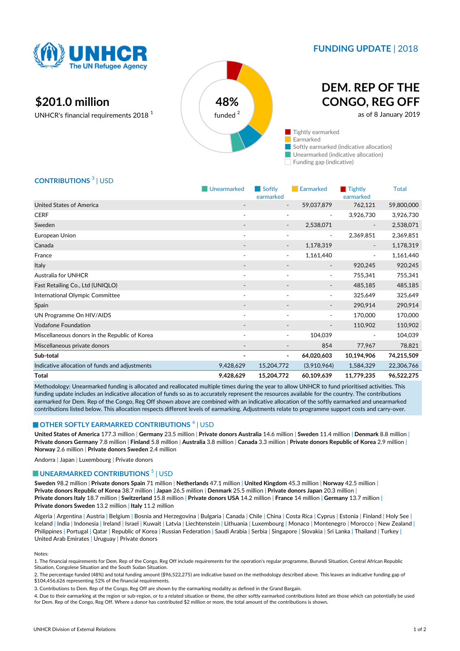

### **FUNDING UPDATE** | 2018

## **\$201.0 million 48%**

UNHCR's financial requirements 2018<sup>1</sup>



# **DEM. REP OF THE CONGO, REG OFF**

as of 8 January 2019

 $\blacksquare$  Tightly earmarked Earmarked Softly earmarked (indicative allocation) Unearmarked (indicative allocation)

Funding gap (indicative)

### **CONTRIBUTIONS** <sup>3</sup> | USD

|                                                | Unearmarked              | Softly<br>earmarked          | <b>Earmarked</b>         | $\blacksquare$ Tightly<br>earmarked | <b>Total</b> |
|------------------------------------------------|--------------------------|------------------------------|--------------------------|-------------------------------------|--------------|
| <b>United States of America</b>                |                          | $\overline{\phantom{a}}$     | 59,037,879               | 762,121                             | 59,800,000   |
| <b>CERF</b>                                    |                          | ۰                            | $\overline{\phantom{a}}$ | 3,926,730                           | 3,926,730    |
| Sweden                                         |                          |                              | 2,538,071                |                                     | 2,538,071    |
| European Union                                 | $\overline{\phantom{a}}$ | ٠                            | ٠                        | 2,369,851                           | 2,369,851    |
| Canada                                         |                          | -                            | 1,178,319                | $\overline{\phantom{a}}$            | 1,178,319    |
| France                                         | $\overline{\phantom{a}}$ |                              | 1,161,440                | $\overline{\phantom{a}}$            | 1,161,440    |
| Italy                                          | $\overline{\phantom{a}}$ | $\overline{\phantom{a}}$     | $\overline{\phantom{a}}$ | 920,245                             | 920,245      |
| <b>Australia for UNHCR</b>                     | $\overline{\phantom{a}}$ | ۰                            | ٠                        | 755,341                             | 755,341      |
| Fast Retailing Co., Ltd (UNIQLO)               | $\overline{\phantom{a}}$ | $\overline{\phantom{a}}$     |                          | 485,185                             | 485,185      |
| International Olympic Committee                | $\overline{\phantom{a}}$ | $\blacksquare$               | $\blacksquare$           | 325,649                             | 325,649      |
| Spain                                          |                          |                              | $\overline{\phantom{a}}$ | 290,914                             | 290,914      |
| UN Programme On HIV/AIDS                       | $\overline{\phantom{a}}$ | $\overline{\phantom{a}}$     | ٠                        | 170,000                             | 170,000      |
| <b>Vodafone Foundation</b>                     |                          |                              |                          | 110,902                             | 110,902      |
| Miscellaneous donors in the Republic of Korea  |                          | ٠                            | 104,039                  | $\overline{\phantom{a}}$            | 104,039      |
| Miscellaneous private donors                   |                          | $\overline{\phantom{a}}$     | 854                      | 77,967                              | 78,821       |
| Sub-total                                      |                          | $\qquad \qquad \blacksquare$ | 64,020,603               | 10,194,906                          | 74,215,509   |
| Indicative allocation of funds and adjustments | 9,428,629                | 15,204,772                   | (3,910,964)              | 1,584,329                           | 22,306,766   |
| Total                                          | 9,428,629                | 15,204,772                   | 60,109,639               | 11,779,235                          | 96,522,275   |

Methodology: Unearmarked funding is allocated and reallocated multiple times during the year to allow UNHCR to fund prioritised activities. This funding update includes an indicative allocation of funds so as to accurately represent the resources available for the country. The contributions earmarked for Dem. Rep of the Congo, Reg Off shown above are combined with an indicative allocation of the softly earmarked and unearmarked contributions listed below. This allocation respects different levels of earmarking. Adjustments relate to programme support costs and carry-over.

#### **OTHER SOFTLY EARMARKED CONTRIBUTIONS**  $^4$  | USD

**United States of America** 177.3 million | **Germany** 23.5 million | **Private donors Australia** 14.6 million | **Sweden** 11.4 million | **Denmark** 8.8 million | **Private donors Germany** 7.8 million | **Finland** 5.8 million | **Australia** 3.8 million | **Canada** 3.3 million | **Private donors Republic of Korea** 2.9 million | **Norway** 2.6 million | **Private donors Sweden** 2.4 million

Andorra | Japan | Luxembourg | Private donors

#### **UNEARMARKED CONTRIBUTIONS**<sup>5</sup> | USD

**Sweden** 98.2 million | **Private donors Spain** 71 million | **Netherlands** 47.1 million | **United Kingdom** 45.3 million | **Norway** 42.5 million | **Private donors Republic of Korea** 38.7 million | **Japan** 26.5 million | **Denmark** 25.5 million | **Private donors Japan** 20.3 million | **Private donors Italy** 18.7 million | **Switzerland** 15.8 million | **Private donors USA** 14.2 million | **France** 14 million | **Germany** 13.7 million | **Private donors Sweden** 13.2 million | **Italy** 11.2 million

Algeria | Argentina | Austria | Belgium | Bosnia and Herzegovina | Bulgaria | Canada | Chile | China | Costa Rica | Cyprus | Estonia | Finland | Holy See | Iceland | India | Indonesia | Ireland | Israel | Kuwait | Latvia | Liechtenstein | Lithuania | Luxembourg | Monaco | Montenegro | Morocco | New Zealand | Philippines | Portugal | Qatar | Republic of Korea | Russian Federation | Saudi Arabia | Serbia | Singapore | Slovakia | Sri Lanka | Thailand | Turkey | United Arab Emirates | Uruguay | Private donors

#### Notes:

- 1. The financial requirements for Dem. Rep of the Congo, Reg Off include requirements for the operation's regular programme, Burundi Situation, Central African Republic Situation, Congolese Situation and the South Sudan Situation.
- 2. The percentage funded (48%) and total funding amount (\$96,522,275) are indicative based on the methodology described above. This leaves an indicative funding gap of \$104,456,626 representing 52% of the financial requirements.
- 3. Contributions to Dem. Rep of the Congo, Reg Off are shown by the earmarking modality as defined in the Grand Bargain.
- 4. Due to their earmarking at the region or sub-region, or to a related situation or theme, the other softly earmarked contributions listed are those which can potentially be used for Dem. Rep of the Congo, Reg Off. Where a donor has contributed \$2 million or more, the total amount of the contributions is shown.